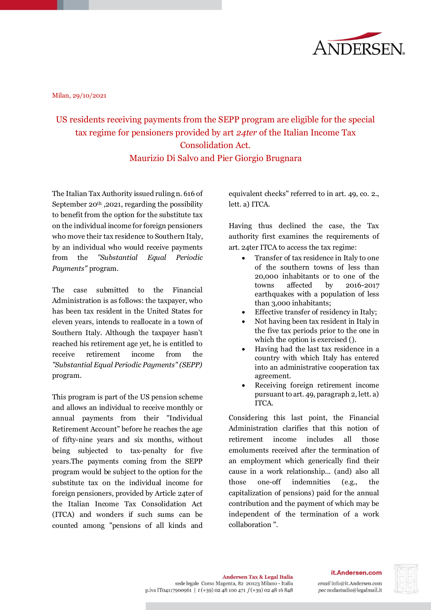

Milan, 29/10/2021

## US residents receiving payments from the SEPP program are eligible for the special tax regime for pensioners provided by art *24ter* of the Italian Income Tax Consolidation Act. Maurizio Di Salvo and Pier Giorgio Brugnara

The Italian Tax Authority issued ruling n. 616 of September  $20<sup>th</sup>$ , 2021, regarding the possibility to benefit from the option for the substitute tax on the individual income for foreign pensioners who move their tax residence to Southern Italy, by an individual who would receive payments from the *"Substantial Equal Periodic Payments"* program.

The case submitted to the Financial Administration is as follows: the taxpayer, who has been tax resident in the United States for eleven years, intends to reallocate in a town of Southern Italy. Although the taxpayer hasn't reached his retirement age yet, he is entitled to receive retirement income from the *"Substantial Equal Periodic Payments" (SEPP)* program.

This program is part of the US pension scheme and allows an individual to receive monthly or annual payments from their "Individual Retirement Account" before he reaches the age of fifty-nine years and six months, without being subjected to tax-penalty for five years.The payments coming from the SEPP program would be subject to the option for the substitute tax on the individual income for foreign pensioners, provided by Article 24ter of the Italian Income Tax Consolidation Act (ITCA) and wonders if such sums can be counted among "pensions of all kinds and

equivalent checks" referred to in art. 49, co. 2., lett. a) ITCA.

Having thus declined the case, the Tax authority first examines the requirements of art. 24ter ITCA to access the tax regime:

- Transfer of tax residence in Italy to one of the southern towns of less than 20,000 inhabitants or to one of the towns affected by 2016-2017 earthquakes with a population of less than 3,000 inhabitants;
- Effective transfer of residency in Italy;
- Not having been tax resident in Italy in the five tax periods prior to the one in which the option is exercised ().
- Having had the last tax residence in a country with which Italy has entered into an administrative cooperation tax agreement.
- Receiving foreign retirement income pursuant to art. 49, paragraph 2, lett. a) ITCA.

Considering this last point, the Financial Administration clarifies that this notion of retirement income includes all those emoluments received after the termination of an employment which generically find their cause in a work relationship... (and) also all those one-off indemnities (e.g., the capitalization of pensions) paid for the annual contribution and the payment of which may be independent of the termination of a work collaboration ".

## it.Andersen.com

email info@it.Andersen.com pec nodastudio@legalmail.it

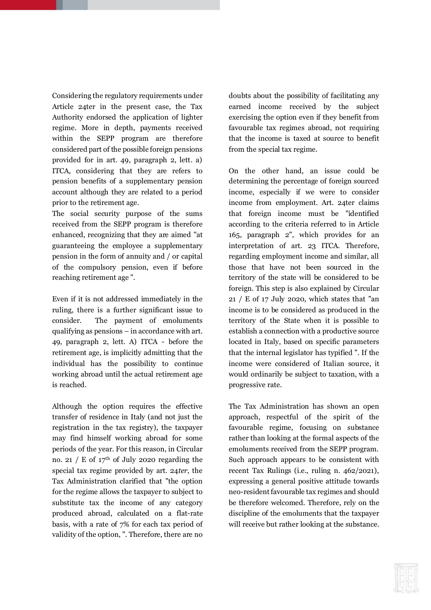Considering the regulatory requirements under Article 24ter in the present case, the Tax Authority endorsed the application of lighter regime. More in depth, payments received within the SEPP program are therefore considered part of the possible foreign pensions provided for in art. 49, paragraph 2, lett. a) ITCA, considering that they are refers to pension benefits of a supplementary pension account although they are related to a period prior to the retirement age.

The social security purpose of the sums received from the SEPP program is therefore enhanced, recognizing that they are aimed "at guaranteeing the employee a supplementary pension in the form of annuity and / or capital of the compulsory pension, even if before reaching retirement age ".

Even if it is not addressed immediately in the ruling, there is a further significant issue to consider. The payment of emoluments qualifying as pensions – in accordance with art. 49, paragraph 2, lett. A) ITCA - before the retirement age, is implicitly admitting that the individual has the possibility to continue working abroad until the actual retirement age is reached.

Although the option requires the effective transfer of residence in Italy (and not just the registration in the tax registry), the taxpayer may find himself working abroad for some periods of the year. For this reason, in Circular no. 21 / E of  $17<sup>th</sup>$  of July 2020 regarding the special tax regime provided by art. 24*ter*, the Tax Administration clarified that "the option for the regime allows the taxpayer to subject to substitute tax the income of any category produced abroad, calculated on a flat-rate basis, with a rate of 7% for each tax period of validity of the option, ". Therefore, there are no doubts about the possibility of facilitating any earned income received by the subject exercising the option even if they benefit from favourable tax regimes abroad, not requiring that the income is taxed at source to benefit from the special tax regime.

On the other hand, an issue could be determining the percentage of foreign sourced income, especially if we were to consider income from employment. Art. 24ter claims that foreign income must be "identified according to the criteria referred to in Article 165, paragraph 2", which provides for an interpretation of art. 23 ITCA. Therefore, regarding employment income and similar, all those that have not been sourced in the territory of the state will be considered to be foreign. This step is also explained by Circular 21 / E of 17 July 2020, which states that "an income is to be considered as produced in the territory of the State when it is possible to establish a connection with a productive source located in Italy, based on specific parameters that the internal legislator has typified ". If the income were considered of Italian source, it would ordinarily be subject to taxation, with a progressive rate.

The Tax Administration has shown an open approach, respectful of the spirit of the favourable regime, focusing on substance rather than looking at the formal aspects of the emoluments received from the SEPP program. Such approach appears to be consistent with recent Tax Rulings (i.e., ruling n. 462/2021), expressing a general positive attitude towards neo-resident favourable tax regimes and should be therefore welcomed. Therefore, rely on the discipline of the emoluments that the taxpayer will receive but rather looking at the substance.